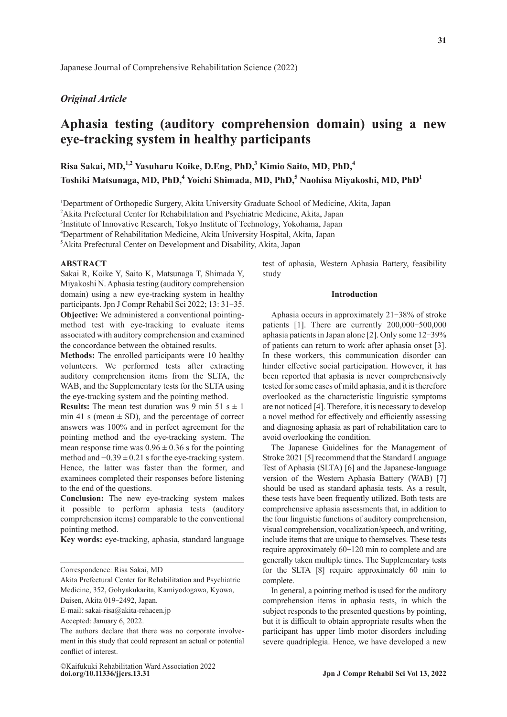# *Original Article*

# **Aphasia testing (auditory comprehension domain) using a new eye-tracking system in healthy participants**

**Risa Sakai, MD,1,2 Yasuharu Koike, D.Eng, PhD,3 Kimio Saito, MD, PhD,4 Toshiki Matsunaga, MD, PhD,<sup>4</sup> Yoichi Shimada, MD, PhD,<sup>5</sup> Naohisa Miyakoshi, MD, PhD<sup>1</sup>**

<sup>1</sup>Department of Orthopedic Surgery, Akita University Graduate School of Medicine, Akita, Japan

<sup>2</sup> Akita Prefectural Center for Rehabilitation and Psychiatric Medicine, Akita, Japan

3 Institute of Innovative Research, Tokyo Institute of Technology, Yokohama, Japan

4 Department of Rehabilitation Medicine, Akita University Hospital, Akita, Japan

5 Akita Prefectural Center on Development and Disability, Akita, Japan

#### **ABSTRACT**

Sakai R, Koike Y, Saito K, Matsunaga T, Shimada Y, Miyakoshi N. Aphasia testing (auditory comprehension domain) using a new eye-tracking system in healthy participants. Jpn J Compr Rehabil Sci 2022; 13: 31-35. **Objective:** We administered a conventional pointingmethod test with eye-tracking to evaluate items associated with auditory comprehension and examined the concordance between the obtained results.

**Methods:** The enrolled participants were 10 healthy volunteers. We performed tests after extracting auditory comprehension items from the SLTA, the WAB, and the Supplementary tests for the SLTA using the eye-tracking system and the pointing method.

**Results:** The mean test duration was 9 min 51 s  $\pm$  1 min 41 s (mean  $\pm$  SD), and the percentage of correct answers was 100% and in perfect agreement for the pointing method and the eye-tracking system. The mean response time was  $0.96 \pm 0.36$  s for the pointing method and  $-0.39 \pm 0.21$  s for the eye-tracking system. Hence, the latter was faster than the former, and examinees completed their responses before listening to the end of the questions.

**Conclusion:** The new eye-tracking system makes it possible to perform aphasia tests (auditory comprehension items) comparable to the conventional pointing method.

**Key words:** eye-tracking, aphasia, standard language

Akita Prefectural Center for Rehabilitation and Psychiatric Medicine, 352, Gohyakukarita, Kamiyodogawa, Kyowa,

Daisen, Akita 019-2492, Japan.

E-mail: sakai-risa@akita-rehacen.jp

Accepted: January 6, 2022.

test of aphasia, Western Aphasia Battery, feasibility study

# **Introduction**

Aphasia occurs in approximately  $21-38\%$  of stroke patients  $[1]$ . There are currently  $200,000-500,000$ aphasia patients in Japan alone [2]. Only some 12‒39% of patients can return to work after aphasia onset [3]. In these workers, this communication disorder can hinder effective social participation. However, it has been reported that aphasia is never comprehensively tested for some cases of mild aphasia, and it is therefore overlooked as the characteristic linguistic symptoms are not noticed [4]. Therefore, it is necessary to develop a novel method for effectively and efficiently assessing and diagnosing aphasia as part of rehabilitation care to avoid overlooking the condition.

The Japanese Guidelines for the Management of Stroke 2021 [5] recommend that the Standard Language Test of Aphasia (SLTA) [6] and the Japanese-language version of the Western Aphasia Battery (WAB) [7] should be used as standard aphasia tests. As a result, these tests have been frequently utilized. Both tests are comprehensive aphasia assessments that, in addition to the four linguistic functions of auditory comprehension, visual comprehension, vocalization/speech, and writing, include items that are unique to themselves. These tests require approximately 60–120 min to complete and are generally taken multiple times. The Supplementary tests for the SLTA [8] require approximately 60 min to complete.

In general, a pointing method is used for the auditory comprehension items in aphasia tests, in which the subject responds to the presented questions by pointing, but it is difficult to obtain appropriate results when the participant has upper limb motor disorders including severe quadriplegia. Hence, we have developed a new

Correspondence: Risa Sakai, MD

The authors declare that there was no corporate involvement in this study that could represent an actual or potential conflict of interest.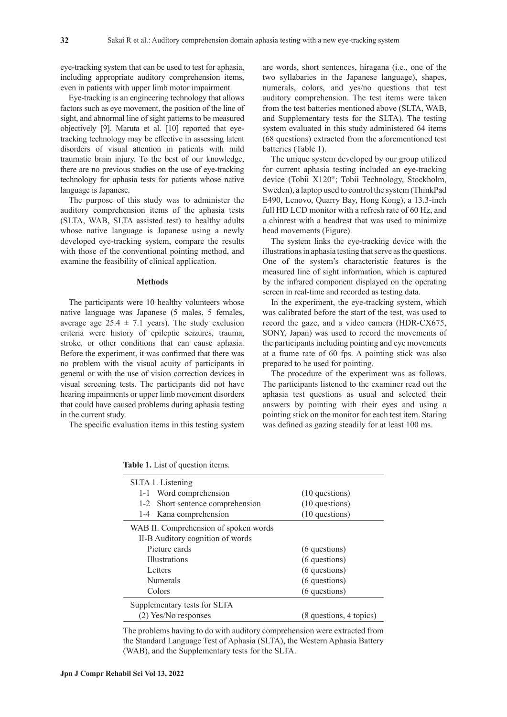eye-tracking system that can be used to test for aphasia, including appropriate auditory comprehension items, even in patients with upper limb motor impairment.

Eye-tracking is an engineering technology that allows factors such as eye movement, the position of the line of sight, and abnormal line of sight patterns to be measured objectively [9]. Maruta et al. [10] reported that eyetracking technology may be effective in assessing latent disorders of visual attention in patients with mild traumatic brain injury. To the best of our knowledge, there are no previous studies on the use of eye-tracking technology for aphasia tests for patients whose native language is Japanese.

The purpose of this study was to administer the auditory comprehension items of the aphasia tests (SLTA, WAB, SLTA assisted test) to healthy adults whose native language is Japanese using a newly developed eye-tracking system, compare the results with those of the conventional pointing method, and examine the feasibility of clinical application.

#### **Methods**

The participants were 10 healthy volunteers whose native language was Japanese (5 males, 5 females, average age  $25.4 \pm 7.1$  years). The study exclusion criteria were history of epileptic seizures, trauma, stroke, or other conditions that can cause aphasia. Before the experiment, it was confirmed that there was no problem with the visual acuity of participants in general or with the use of vision correction devices in visual screening tests. The participants did not have hearing impairments or upper limb movement disorders that could have caused problems during aphasia testing in the current study.

The specific evaluation items in this testing system

are words, short sentences, hiragana (i.e., one of the two syllabaries in the Japanese language), shapes, numerals, colors, and yes/no questions that test auditory comprehension. The test items were taken from the test batteries mentioned above (SLTA, WAB, and Supplementary tests for the SLTA). The testing system evaluated in this study administered 64 items (68 questions) extracted from the aforementioned test batteries (Table 1).

The unique system developed by our group utilized for current aphasia testing included an eye-tracking device (Tobii X120®; Tobii Technology, Stockholm, Sweden), a laptop used to control the system (ThinkPad E490, Lenovo, Quarry Bay, Hong Kong), a 13.3-inch full HD LCD monitor with a refresh rate of 60 Hz, and a chinrest with a headrest that was used to minimize head movements (Figure).

The system links the eye-tracking device with the illustrations in aphasia testing that serve as the questions. One of the system's characteristic features is the measured line of sight information, which is captured by the infrared component displayed on the operating screen in real-time and recorded as testing data.

In the experiment, the eye-tracking system, which was calibrated before the start of the test, was used to record the gaze, and a video camera (HDR-CX675, SONY, Japan) was used to record the movements of the participants including pointing and eye movements at a frame rate of 60 fps. A pointing stick was also prepared to be used for pointing.

The procedure of the experiment was as follows. The participants listened to the examiner read out the aphasia test questions as usual and selected their answers by pointing with their eyes and using a pointing stick on the monitor for each test item. Staring was defined as gazing steadily for at least 100 ms.

| SLTA 1. Listening                     |                         |  |  |
|---------------------------------------|-------------------------|--|--|
| 1-1 Word comprehension                | $(10$ questions)        |  |  |
| 1-2 Short sentence comprehension      | (10 questions)          |  |  |
| 1-4 Kana comprehension                | (10 questions)          |  |  |
| WAB II. Comprehension of spoken words |                         |  |  |
| II-B Auditory cognition of words      |                         |  |  |
| Picture cards                         | (6 questions)           |  |  |
| <b>Illustrations</b>                  | (6 questions)           |  |  |
| Letters                               | (6 questions)           |  |  |
| <b>Numerals</b>                       | (6 questions)           |  |  |
| Colors                                | (6 questions)           |  |  |
| Supplementary tests for SLTA          |                         |  |  |
| (2) Yes/No responses                  | (8 questions, 4 topics) |  |  |

**Table 1.** List of question items.

The problems having to do with auditory comprehension were extracted from the Standard Language Test of Aphasia (SLTA), the Western Aphasia Battery (WAB), and the Supplementary tests for the SLTA.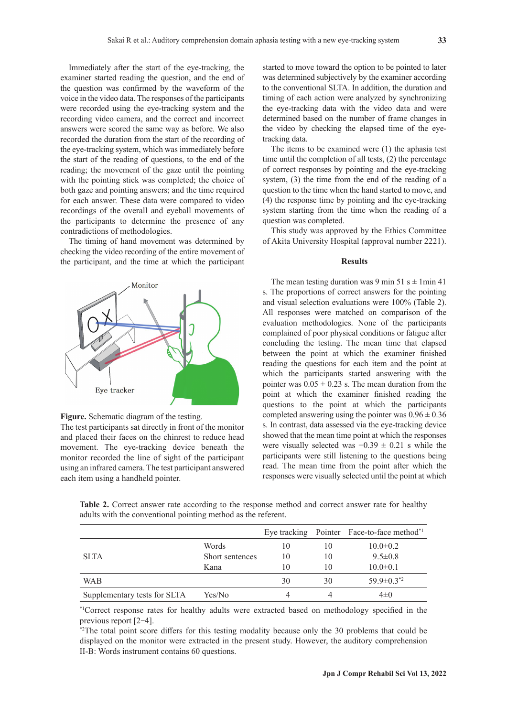Immediately after the start of the eye-tracking, the examiner started reading the question, and the end of the question was confirmed by the waveform of the voice in the video data. The responses of the participants were recorded using the eye-tracking system and the recording video camera, and the correct and incorrect answers were scored the same way as before. We also recorded the duration from the start of the recording of the eye-tracking system, which was immediately before the start of the reading of questions, to the end of the reading; the movement of the gaze until the pointing with the pointing stick was completed; the choice of both gaze and pointing answers; and the time required for each answer. These data were compared to video recordings of the overall and eyeball movements of the participants to determine the presence of any contradictions of methodologies.

The timing of hand movement was determined by checking the video recording of the entire movement of the participant, and the time at which the participant





The test participants sat directly in front of the monitor and placed their faces on the chinrest to reduce head movement. The eye-tracking device beneath the monitor recorded the line of sight of the participant using an infrared camera. The test participant answered each item using a handheld pointer.

started to move toward the option to be pointed to later was determined subjectively by the examiner according to the conventional SLTA. In addition, the duration and timing of each action were analyzed by synchronizing the eye-tracking data with the video data and were determined based on the number of frame changes in the video by checking the elapsed time of the eyetracking data.

The items to be examined were (1) the aphasia test time until the completion of all tests, (2) the percentage of correct responses by pointing and the eye-tracking system, (3) the time from the end of the reading of a question to the time when the hand started to move, and (4) the response time by pointing and the eye-tracking system starting from the time when the reading of a question was completed.

This study was approved by the Ethics Committee of Akita University Hospital (approval number 2221).

#### **Results**

The mean testing duration was 9 min 51 s  $\pm$  1 min 41 s. The proportions of correct answers for the pointing and visual selection evaluations were 100% (Table 2). All responses were matched on comparison of the evaluation methodologies. None of the participants complained of poor physical conditions or fatigue after concluding the testing. The mean time that elapsed between the point at which the examiner finished reading the questions for each item and the point at which the participants started answering with the pointer was  $0.05 \pm 0.23$  s. The mean duration from the point at which the examiner finished reading the questions to the point at which the participants completed answering using the pointer was  $0.96 \pm 0.36$ s. In contrast, data assessed via the eye-tracking device showed that the mean time point at which the responses were visually selected was  $-0.39 \pm 0.21$  s while the participants were still listening to the questions being read. The mean time from the point after which the responses were visually selected until the point at which

**Table 2.** Correct answer rate according to the response method and correct answer rate for healthy adults with the conventional pointing method as the referent.

|                              |                 |    |    | Eye tracking Pointer Face-to-face method <sup>*1</sup> |
|------------------------------|-----------------|----|----|--------------------------------------------------------|
|                              | Words           | 10 | 10 | $10.0 \pm 0.2$                                         |
| <b>SLTA</b>                  | Short sentences | 10 | 10 | $9.5 \pm 0.8$                                          |
|                              | Kana            | 10 | 10 | $10.0 \pm 0.1$                                         |
| WAB                          |                 | 30 | 30 | $59.9 \pm 0.3^{*2}$                                    |
| Supplementary tests for SLTA | Yes/No          |    |    | 4±0                                                    |

\*1Correct response rates for healthy adults were extracted based on methodology specified in the previous report [2‒4].

\*2The total point score differs for this testing modality because only the 30 problems that could be displayed on the monitor were extracted in the present study. However, the auditory comprehension II-B: Words instrument contains 60 questions.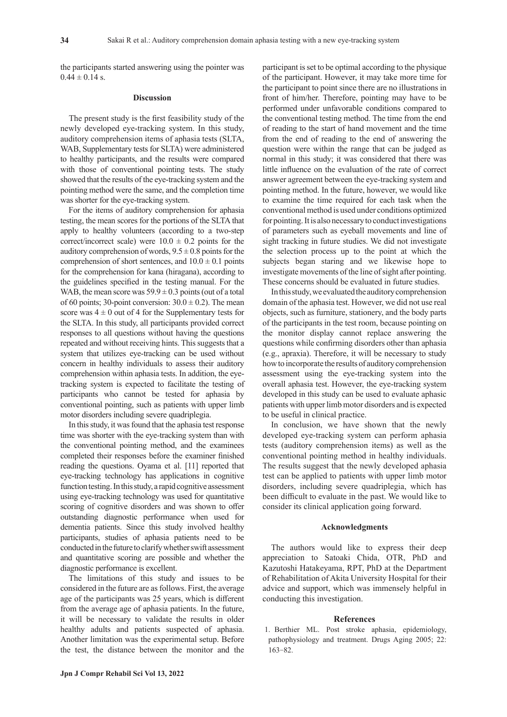the participants started answering using the pointer was  $0.44 \pm 0.14$  s.

## **Discussion**

The present study is the first feasibility study of the newly developed eye-tracking system. In this study, auditory comprehension items of aphasia tests (SLTA, WAB, Supplementary tests for SLTA) were administered to healthy participants, and the results were compared with those of conventional pointing tests. The study showed that the results of the eye-tracking system and the pointing method were the same, and the completion time was shorter for the eye-tracking system.

For the items of auditory comprehension for aphasia testing, the mean scores for the portions of the SLTA that apply to healthy volunteers (according to a two-step correct/incorrect scale) were  $10.0 \pm 0.2$  points for the auditory comprehension of words,  $9.5 \pm 0.8$  points for the comprehension of short sentences, and  $10.0 \pm 0.1$  points for the comprehension for kana (hiragana), according to the guidelines specified in the testing manual. For the WAB, the mean score was  $59.9 \pm 0.3$  points (out of a total of 60 points; 30-point conversion:  $30.0 \pm 0.2$ ). The mean score was  $4 \pm 0$  out of 4 for the Supplementary tests for the SLTA. In this study, all participants provided correct responses to all questions without having the questions repeated and without receiving hints. This suggests that a system that utilizes eye-tracking can be used without concern in healthy individuals to assess their auditory comprehension within aphasia tests. In addition, the eyetracking system is expected to facilitate the testing of participants who cannot be tested for aphasia by conventional pointing, such as patients with upper limb motor disorders including severe quadriplegia.

In this study, it was found that the aphasia test response time was shorter with the eye-tracking system than with the conventional pointing method, and the examinees completed their responses before the examiner finished reading the questions. Oyama et al. [11] reported that eye-tracking technology has applications in cognitive function testing. In this study, a rapid cognitive assessment using eye-tracking technology was used for quantitative scoring of cognitive disorders and was shown to offer outstanding diagnostic performance when used for dementia patients. Since this study involved healthy participants, studies of aphasia patients need to be conducted in the future to clarify whether swift assessment and quantitative scoring are possible and whether the diagnostic performance is excellent.

The limitations of this study and issues to be considered in the future are as follows. First, the average age of the participants was 25 years, which is different from the average age of aphasia patients. In the future, it will be necessary to validate the results in older healthy adults and patients suspected of aphasia. Another limitation was the experimental setup. Before the test, the distance between the monitor and the participant is set to be optimal according to the physique of the participant. However, it may take more time for the participant to point since there are no illustrations in front of him/her. Therefore, pointing may have to be performed under unfavorable conditions compared to the conventional testing method. The time from the end of reading to the start of hand movement and the time from the end of reading to the end of answering the question were within the range that can be judged as normal in this study; it was considered that there was little influence on the evaluation of the rate of correct answer agreement between the eye-tracking system and pointing method. In the future, however, we would like to examine the time required for each task when the conventional method is used under conditions optimized for pointing. It is also necessary to conduct investigations of parameters such as eyeball movements and line of sight tracking in future studies. We did not investigate the selection process up to the point at which the subjects began staring and we likewise hope to investigate movements of the line of sight after pointing. These concerns should be evaluated in future studies.

In this study, we evaluated the auditory comprehension domain of the aphasia test. However, we did not use real objects, such as furniture, stationery, and the body parts of the participants in the test room, because pointing on the monitor display cannot replace answering the questions while confirming disorders other than aphasia (e.g., apraxia). Therefore, it will be necessary to study how to incorporate the results of auditory comprehension assessment using the eye-tracking system into the overall aphasia test. However, the eye-tracking system developed in this study can be used to evaluate aphasic patients with upper limb motor disorders and is expected to be useful in clinical practice.

In conclusion, we have shown that the newly developed eye-tracking system can perform aphasia tests (auditory comprehension items) as well as the conventional pointing method in healthy individuals. The results suggest that the newly developed aphasia test can be applied to patients with upper limb motor disorders, including severe quadriplegia, which has been difficult to evaluate in the past. We would like to consider its clinical application going forward.

#### **Acknowledgments**

The authors would like to express their deep appreciation to Satoaki Chida, OTR, PhD and Kazutoshi Hatakeyama, RPT, PhD at the Department of Rehabilitation of Akita University Hospital for their advice and support, which was immensely helpful in conducting this investigation.

### **References**

 1. Berthier ML. Post stroke aphasia, epidemiology, pathophysiology and treatment. Drugs Aging 2005; 22: 163‐82.